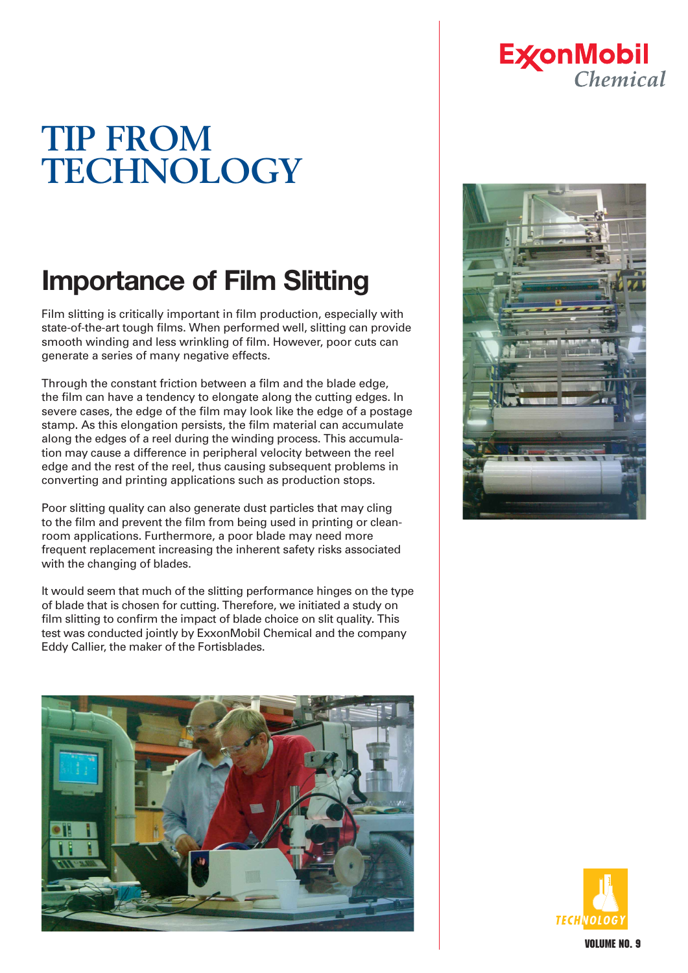# **TIP FROM TECHNOLOGY**

## **Importance of Film Slitting**

Film slitting is critically important in film production, especially with state-of-the-art tough films. When performed well, slitting can provide smooth winding and less wrinkling of film. However, poor cuts can generate a series of many negative effects.

Through the constant friction between a film and the blade edge, the film can have a tendency to elongate along the cutting edges. In severe cases, the edge of the film may look like the edge of a postage stamp. As this elongation persists, the film material can accumulate along the edges of a reel during the winding process. This accumulation may cause a difference in peripheral velocity between the reel edge and the rest of the reel, thus causing subsequent problems in converting and printing applications such as production stops.

Poor slitting quality can also generate dust particles that may cling to the film and prevent the film from being used in printing or cleanroom applications. Furthermore, a poor blade may need more frequent replacement increasing the inherent safety risks associated with the changing of blades.

It would seem that much of the slitting performance hinges on the type of blade that is chosen for cutting. Therefore, we initiated a study on film slitting to confirm the impact of blade choice on slit quality. This test was conducted jointly by ExxonMobil Chemical and the company Eddy Callier, the maker of the Fortisblades.



### **ExconMobil** Chemical



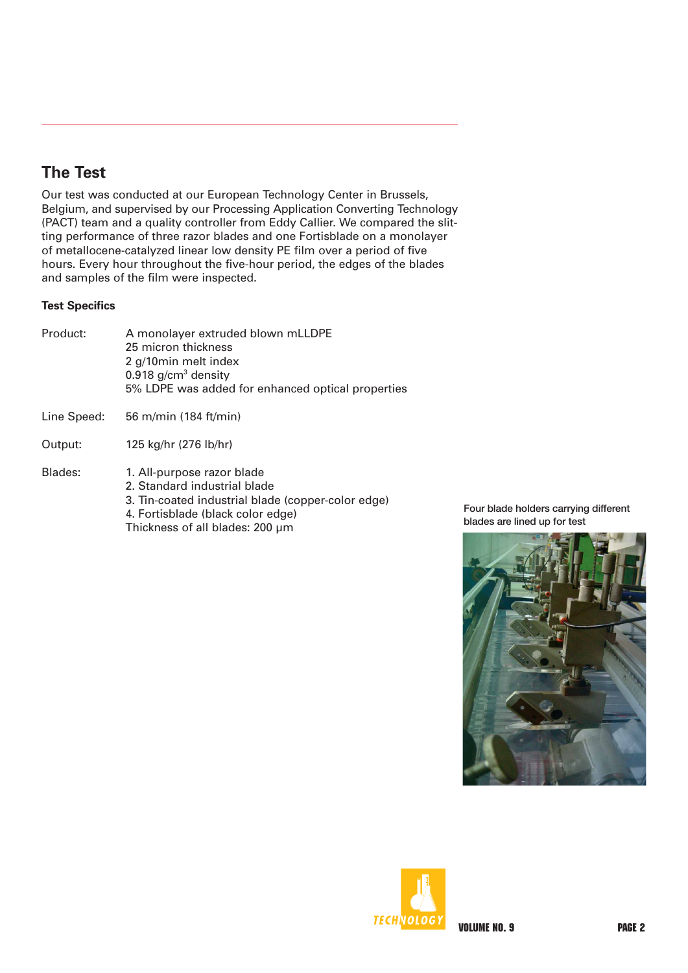### **The Test**

Our test was conducted at our European Technology Center in Brussels, Belgium, and supervised by our Processing Application Converting Technology (PACT) team and a quality controller from Eddy Callier. We compared the slitting performance of three razor blades and one Fortisblade on a monolayer of metallocene-catalyzed linear low density PE film over a period of five hours. Every hour throughout the five-hour period, the edges of the blades and samples of the film were inspected.

#### **Test Specifics**

| Product:    | A monolayer extruded blown mLLDPE<br>25 micron thickness<br>2 g/10min melt index<br>0.918 $g/cm3$ density<br>5% LDPE was added for enhanced optical properties                           |
|-------------|------------------------------------------------------------------------------------------------------------------------------------------------------------------------------------------|
| Line Speed: | 56 m/min (184 ft/min)                                                                                                                                                                    |
| Output:     | 125 kg/hr (276 lb/hr)                                                                                                                                                                    |
| Blades:     | 1. All-purpose razor blade<br>2. Standard industrial blade<br>3. Tin-coated industrial blade (copper-color edge)<br>4. Fortisblade (black color edge)<br>Thickness of all blades: 200 µm |

Four blade holders carrying different blades are lined up for test



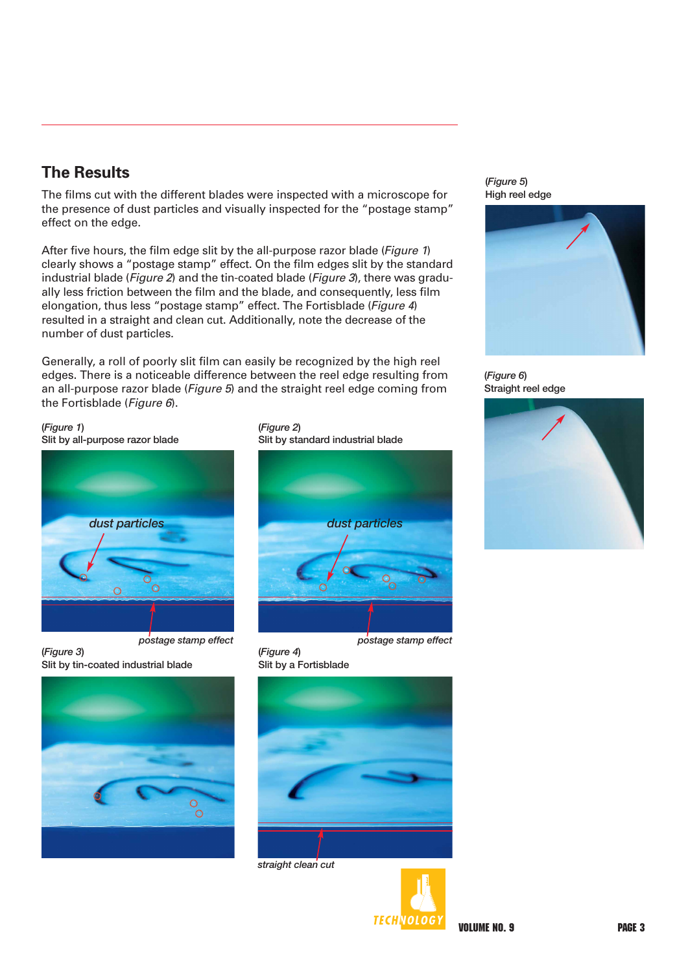#### **The Results**

The films cut with the different blades were inspected with a microscope for the presence of dust particles and visually inspected for the "postage stamp" effect on the edge.

After five hours, the film edge slit by the all-purpose razor blade (Figure 1) clearly shows a "postage stamp" effect. On the film edges slit by the standard industrial blade (*Figure 2*) and the tin-coated blade (*Figure 3*), there was gradually less friction between the film and the blade, and consequently, less film elongation, thus less "postage stamp" effect. The Fortisblade (Figure 4) resulted in a straight and clean cut. Additionally, note the decrease of the number of dust particles.

Generally, a roll of poorly slit film can easily be recognized by the high reel edges. There is a noticeable difference between the reel edge resulting from an all-purpose razor blade (Figure 5) and the straight reel edge coming from the Fortisblade (Figure 6).

(*Figure 1*) Slit by all-purpose razor blade



*postage stamp effect*

(*Figure 3*) Slit by tin-coated industrial blade



(*Figure 2*) Slit by standard industrial blade



*postage stamp effect*

(*Figure 4*) Slit by a Fortisblade



*straight clean cut*



(*Figure 5*) High reel edge



(*Figure 6*) Straight reel edge